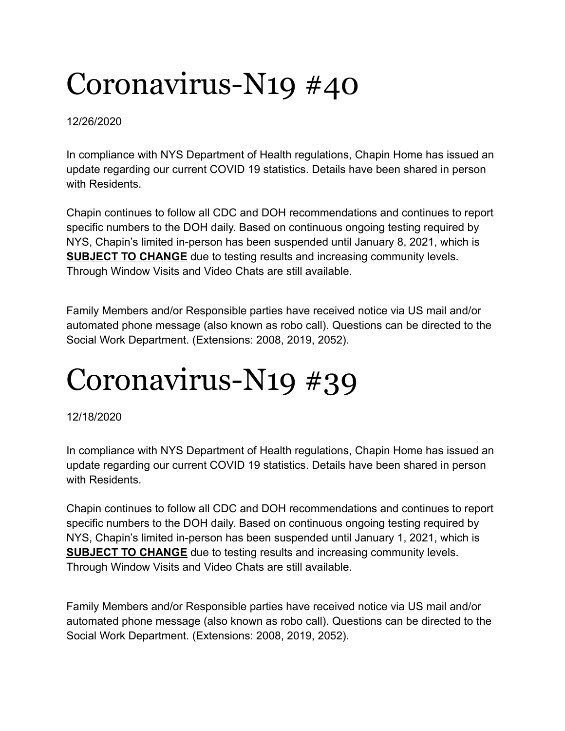#### 12/26/2020

In compliance with NYS Department of Health regulations, Chapin Home has issued an update regarding our current COVID 19 statistics. Details have been shared in person with Residents.

Chapin continues to follow all CDC and DOH recommendations and continues to report specific numbers to the DOH daily. Based on continuous ongoing testing required by NYS, Chapin's limited in-person has been suspended until January 8, 2021, which is **SUBJECT TO CHANGE** due to testing results and increasing community levels. Through Window Visits and Video Chats are still available.

Family Members and/or Responsible parties have received notice via US mail and/or automated phone message (also known as robo call). Questions can be directed to the Social Work Department. (Extensions: 2008, 2019, 2052).

## Coronavirus-N19 #39

12/18/2020

In compliance with NYS Department of Health regulations, Chapin Home has issued an update regarding our current COVID 19 statistics. Details have been shared in person with Residents.

Chapin continues to follow all CDC and DOH recommendations and continues to report specific numbers to the DOH daily. Based on continuous ongoing testing required by NYS, Chapin's limited in-person has been suspended until January 1, 2021, which is **SUBJECT TO CHANGE** due to testing results and increasing community levels. Through Window Visits and Video Chats are still available.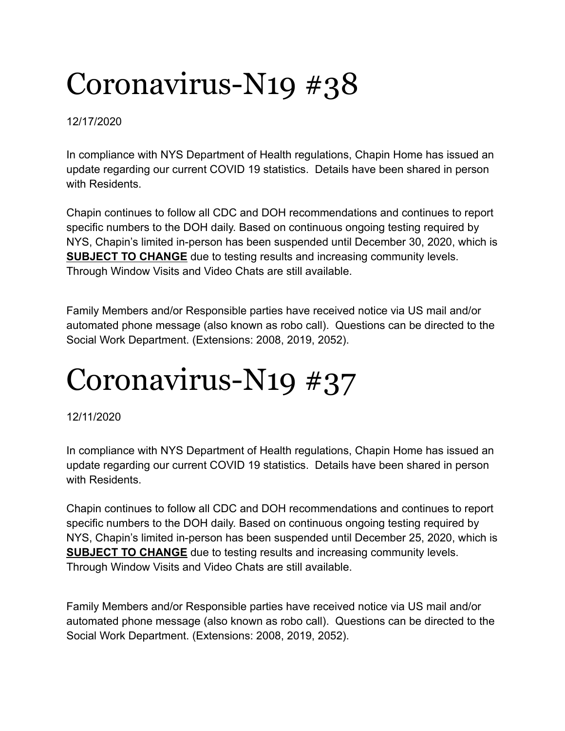12/17/2020

In compliance with NYS Department of Health regulations, Chapin Home has issued an update regarding our current COVID 19 statistics. Details have been shared in person with Residents.

Chapin continues to follow all CDC and DOH recommendations and continues to report specific numbers to the DOH daily. Based on continuous ongoing testing required by NYS, Chapin's limited in-person has been suspended until December 30, 2020, which is **SUBJECT TO CHANGE** due to testing results and increasing community levels. Through Window Visits and Video Chats are still available.

Family Members and/or Responsible parties have received notice via US mail and/or automated phone message (also known as robo call). Questions can be directed to the Social Work Department. (Extensions: 2008, 2019, 2052).

# Coronavirus-N19 #37

12/11/2020

In compliance with NYS Department of Health regulations, Chapin Home has issued an update regarding our current COVID 19 statistics. Details have been shared in person with Residents.

Chapin continues to follow all CDC and DOH recommendations and continues to report specific numbers to the DOH daily. Based on continuous ongoing testing required by NYS, Chapin's limited in-person has been suspended until December 25, 2020, which is **SUBJECT TO CHANGE** due to testing results and increasing community levels. Through Window Visits and Video Chats are still available.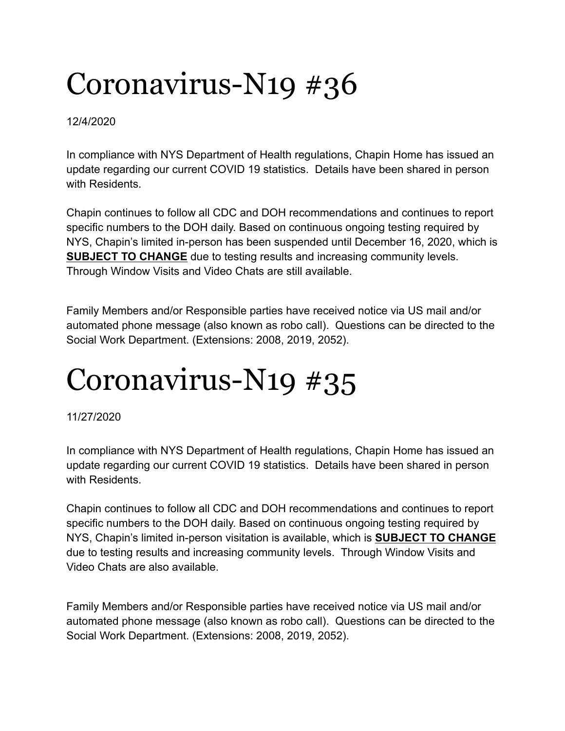#### 12/4/2020

In compliance with NYS Department of Health regulations, Chapin Home has issued an update regarding our current COVID 19 statistics. Details have been shared in person with Residents.

Chapin continues to follow all CDC and DOH recommendations and continues to report specific numbers to the DOH daily. Based on continuous ongoing testing required by NYS, Chapin's limited in-person has been suspended until December 16, 2020, which is **SUBJECT TO CHANGE** due to testing results and increasing community levels. Through Window Visits and Video Chats are still available.

Family Members and/or Responsible parties have received notice via US mail and/or automated phone message (also known as robo call). Questions can be directed to the Social Work Department. (Extensions: 2008, 2019, 2052).

## Coronavirus-N19 #35

11/27/2020

In compliance with NYS Department of Health regulations, Chapin Home has issued an update regarding our current COVID 19 statistics. Details have been shared in person with Residents.

Chapin continues to follow all CDC and DOH recommendations and continues to report specific numbers to the DOH daily. Based on continuous ongoing testing required by NYS, Chapin's limited in-person visitation is available, which is **SUBJECT TO CHANGE** due to testing results and increasing community levels. Through Window Visits and Video Chats are also available.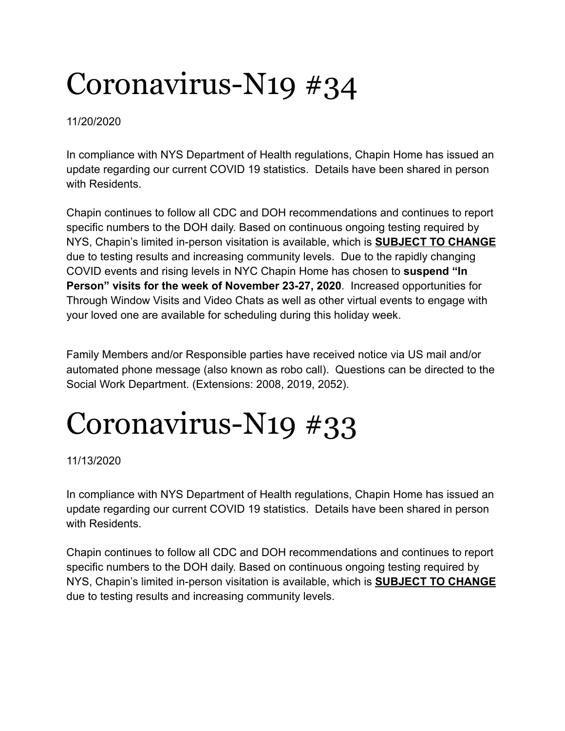11/20/2020

In compliance with NYS Department of Health regulations, Chapin Home has issued an update regarding our current COVID 19 statistics. Details have been shared in person with Residents.

Chapin continues to follow all CDC and DOH recommendations and continues to report specific numbers to the DOH daily. Based on continuous ongoing testing required by NYS, Chapin's limited in-person visitation is available, which is **SUBJECT TO CHANGE** due to testing results and increasing community levels. Due to the rapidly changing COVID events and rising levels in NYC Chapin Home has chosen to **suspend "In Person" visits for the week of November 23-27, 2020**. Increased opportunities for Through Window Visits and Video Chats as well as other virtual events to engage with your loved one are available for scheduling during this holiday week.

Family Members and/or Responsible parties have received notice via US mail and/or automated phone message (also known as robo call). Questions can be directed to the Social Work Department. (Extensions: 2008, 2019, 2052).

## Coronavirus-N19 #33

11/13/2020

In compliance with NYS Department of Health regulations, Chapin Home has issued an update regarding our current COVID 19 statistics. Details have been shared in person with Residents.

Chapin continues to follow all CDC and DOH recommendations and continues to report specific numbers to the DOH daily. Based on continuous ongoing testing required by NYS, Chapin's limited in-person visitation is available, which is **SUBJECT TO CHANGE** due to testing results and increasing community levels.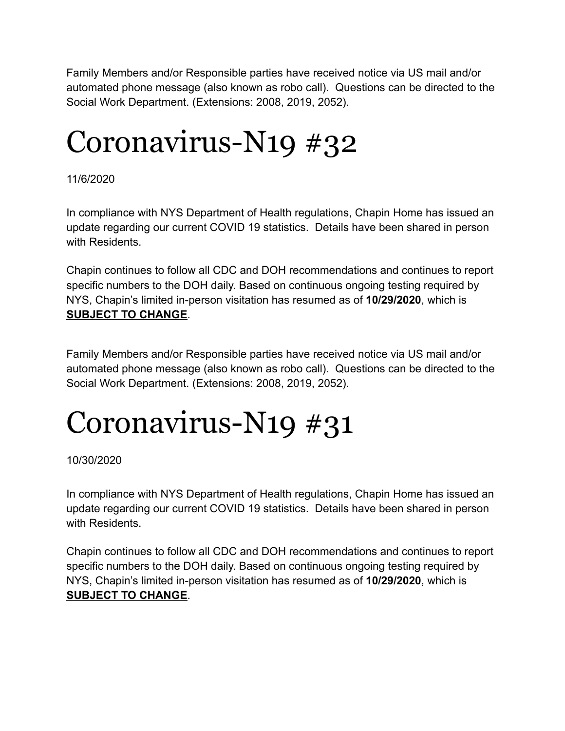Family Members and/or Responsible parties have received notice via US mail and/or automated phone message (also known as robo call). Questions can be directed to the Social Work Department. (Extensions: 2008, 2019, 2052).

## Coronavirus-N19 #32

11/6/2020

In compliance with NYS Department of Health regulations, Chapin Home has issued an update regarding our current COVID 19 statistics. Details have been shared in person with Residents.

Chapin continues to follow all CDC and DOH recommendations and continues to report specific numbers to the DOH daily. Based on continuous ongoing testing required by NYS, Chapin's limited in-person visitation has resumed as of **10/29/2020**, which is **SUBJECT TO CHANGE**.

Family Members and/or Responsible parties have received notice via US mail and/or automated phone message (also known as robo call). Questions can be directed to the Social Work Department. (Extensions: 2008, 2019, 2052).

## Coronavirus-N19 #31

10/30/2020

In compliance with NYS Department of Health regulations, Chapin Home has issued an update regarding our current COVID 19 statistics. Details have been shared in person with Residents.

Chapin continues to follow all CDC and DOH recommendations and continues to report specific numbers to the DOH daily. Based on continuous ongoing testing required by NYS, Chapin's limited in-person visitation has resumed as of **10/29/2020**, which is **SUBJECT TO CHANGE**.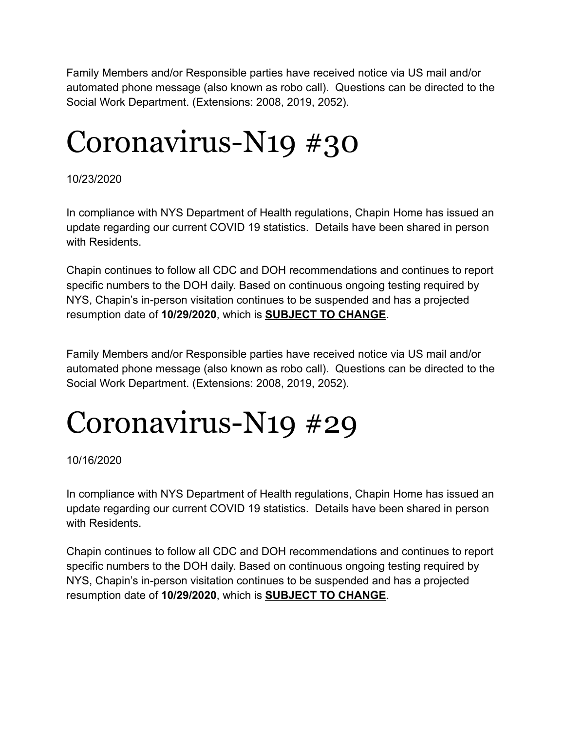Family Members and/or Responsible parties have received notice via US mail and/or automated phone message (also known as robo call). Questions can be directed to the Social Work Department. (Extensions: 2008, 2019, 2052).

### Coronavirus-N19 #30

10/23/2020

In compliance with NYS Department of Health regulations, Chapin Home has issued an update regarding our current COVID 19 statistics. Details have been shared in person with Residents.

Chapin continues to follow all CDC and DOH recommendations and continues to report specific numbers to the DOH daily. Based on continuous ongoing testing required by NYS, Chapin's in-person visitation continues to be suspended and has a projected resumption date of **10/29/2020**, which is **SUBJECT TO CHANGE**.

Family Members and/or Responsible parties have received notice via US mail and/or automated phone message (also known as robo call). Questions can be directed to the Social Work Department. (Extensions: 2008, 2019, 2052).

## Coronavirus-N19 #29

10/16/2020

In compliance with NYS Department of Health regulations, Chapin Home has issued an update regarding our current COVID 19 statistics. Details have been shared in person with Residents.

Chapin continues to follow all CDC and DOH recommendations and continues to report specific numbers to the DOH daily. Based on continuous ongoing testing required by NYS, Chapin's in-person visitation continues to be suspended and has a projected resumption date of **10/29/2020**, which is **SUBJECT TO CHANGE**.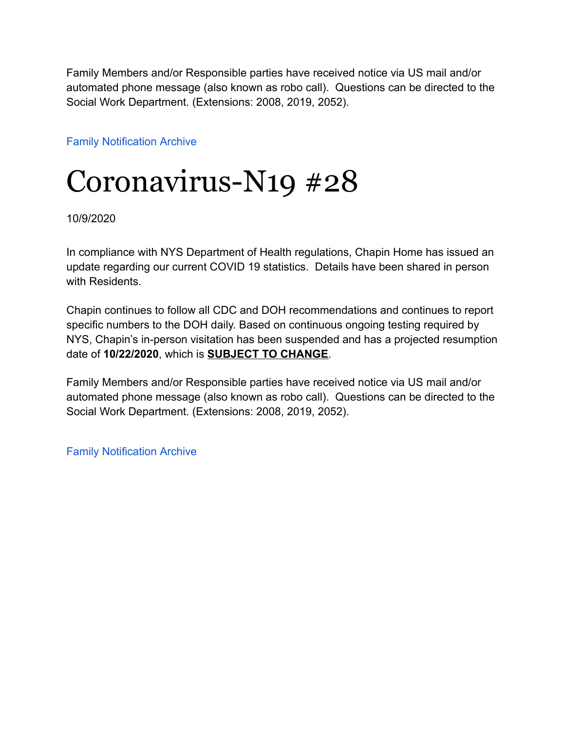Family Members and/or Responsible parties have received notice via US mail and/or automated phone message (also known as robo call). Questions can be directed to the Social Work Department. (Extensions: 2008, 2019, 2052).

[Family Notification Archive](https://www.chapinhome.org/family-notifications/)

### Coronavirus-N19 #28

10/9/2020

In compliance with NYS Department of Health regulations, Chapin Home has issued an update regarding our current COVID 19 statistics. Details have been shared in person with Residents

Chapin continues to follow all CDC and DOH recommendations and continues to report specific numbers to the DOH daily. Based on continuous ongoing testing required by NYS, Chapin's in-person visitation has been suspended and has a projected resumption date of **10/22/2020**, which is **SUBJECT TO CHANGE**.

Family Members and/or Responsible parties have received notice via US mail and/or automated phone message (also known as robo call). Questions can be directed to the Social Work Department. (Extensions: 2008, 2019, 2052).

[Family Notification Archive](https://www.chapinhome.org/family-notifications/)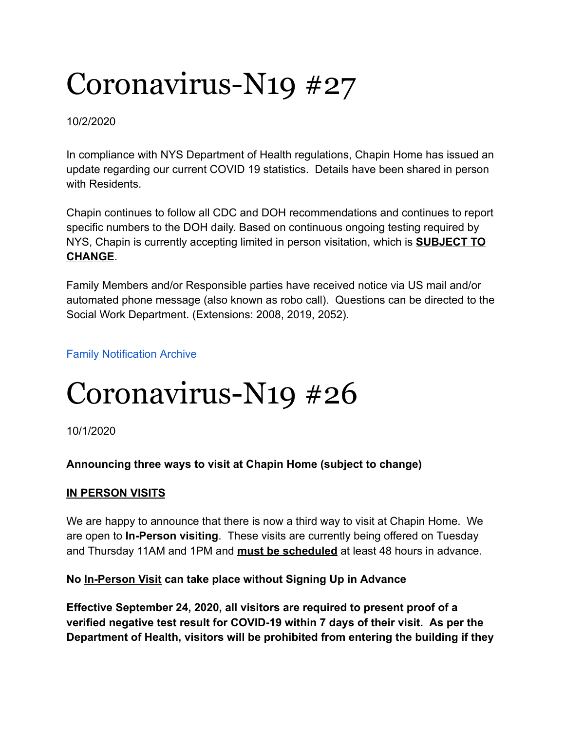#### 10/2/2020

In compliance with NYS Department of Health regulations, Chapin Home has issued an update regarding our current COVID 19 statistics. Details have been shared in person with Residents.

Chapin continues to follow all CDC and DOH recommendations and continues to report specific numbers to the DOH daily. Based on continuous ongoing testing required by NYS, Chapin is currently accepting limited in person visitation, which is **SUBJECT TO CHANGE**.

Family Members and/or Responsible parties have received notice via US mail and/or automated phone message (also known as robo call). Questions can be directed to the Social Work Department. (Extensions: 2008, 2019, 2052).

#### [Family Notification Archive](https://www.chapinhome.org/family-notifications/)

### Coronavirus-N19 #26

10/1/2020

#### **Announcing three ways to visit at Chapin Home (subject to change)**

#### **IN PERSON VISITS**

We are happy to announce that there is now a third way to visit at Chapin Home. We are open to **In-Person visiting**. These visits are currently being offered on Tuesday and Thursday 11AM and 1PM and **must be scheduled** at least 48 hours in advance.

#### **No In-Person Visit can take place without Signing Up in Advance**

**Effective September 24, 2020, all visitors are required to present proof of a verified negative test result for COVID-19 within 7 days of their visit. As per the Department of Health, visitors will be prohibited from entering the building if they**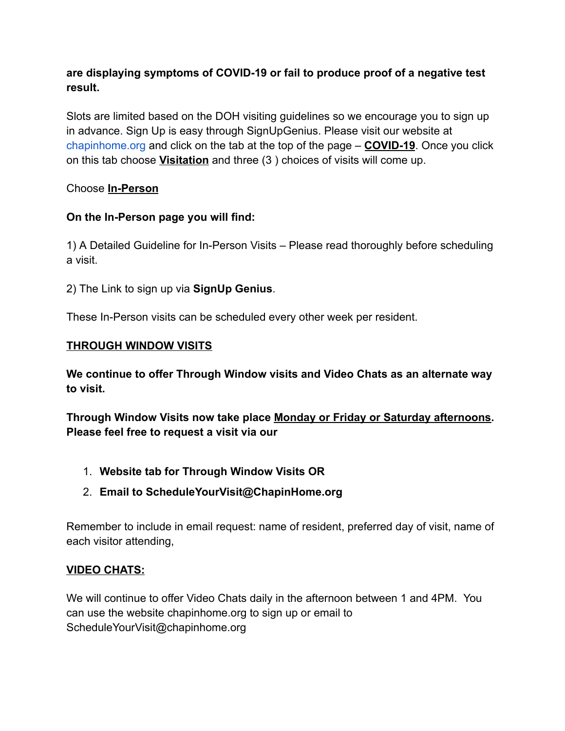#### **are displaying symptoms of COVID-19 or fail to produce proof of a negative test result.**

Slots are limited based on the DOH visiting guidelines so we encourage you to sign up in advance. Sign Up is easy through SignUpGenius. Please visit our website at [chapinhome.org](https://chapinhome.org/) and click on the tab at the top of the page – **COVID-19**. Once you click on this tab choose **Visitation** and three (3 ) choices of visits will come up.

#### Choose **In-Person**

#### **On the In-Person page you will find:**

1) A Detailed Guideline for In-Person Visits – Please read thoroughly before scheduling a visit.

2) The Link to sign up via **SignUp Genius**.

These In-Person visits can be scheduled every other week per resident.

#### **THROUGH WINDOW VISITS**

**We continue to offer Through Window visits and Video Chats as an alternate way to visit.**

**Through Window Visits now take place Monday or Friday or Saturday afternoons. Please feel free to request a visit via our**

- 1. **Website tab for Through Window Visits OR**
- 2. **Email to ScheduleYourVisit@ChapinHome.org**

Remember to include in email request: name of resident, preferred day of visit, name of each visitor attending,

#### **VIDEO CHATS:**

We will continue to offer Video Chats daily in the afternoon between 1 and 4PM. You can use the website chapinhome.org to sign up or email to ScheduleYourVisit@chapinhome.org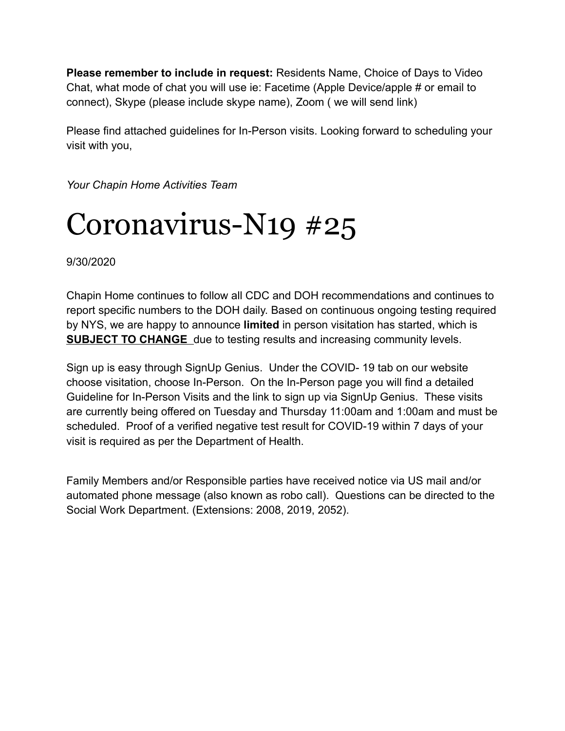**Please remember to include in request:** Residents Name, Choice of Days to Video Chat, what mode of chat you will use ie: Facetime (Apple Device/apple # or email to connect), Skype (please include skype name), Zoom ( we will send link)

Please find attached guidelines for In-Person visits. Looking forward to scheduling your visit with you,

*Your Chapin Home Activities Team*

### Coronavirus-N19 #25

9/30/2020

Chapin Home continues to follow all CDC and DOH recommendations and continues to report specific numbers to the DOH daily. Based on continuous ongoing testing required by NYS, we are happy to announce **limited** in person visitation has started, which is **SUBJECT TO CHANGE** due to testing results and increasing community levels.

Sign up is easy through SignUp Genius. Under the COVID- 19 tab on our website choose visitation, choose In-Person. On the In-Person page you will find a detailed Guideline for In-Person Visits and the link to sign up via SignUp Genius. These visits are currently being offered on Tuesday and Thursday 11:00am and 1:00am and must be scheduled. Proof of a verified negative test result for COVID-19 within 7 days of your visit is required as per the Department of Health.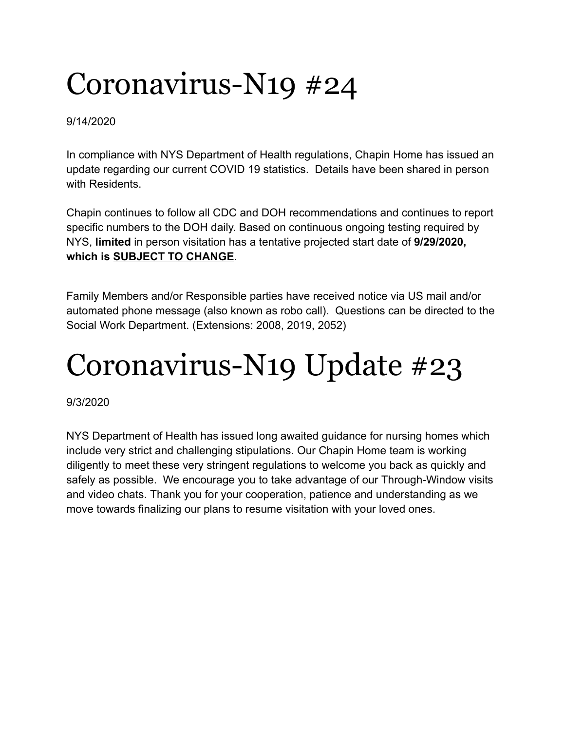9/14/2020

In compliance with NYS Department of Health regulations, Chapin Home has issued an update regarding our current COVID 19 statistics. Details have been shared in person with Residents.

Chapin continues to follow all CDC and DOH recommendations and continues to report specific numbers to the DOH daily. Based on continuous ongoing testing required by NYS, **limited** in person visitation has a tentative projected start date of **9/29/2020, which is SUBJECT TO CHANGE**.

Family Members and/or Responsible parties have received notice via US mail and/or automated phone message (also known as robo call). Questions can be directed to the Social Work Department. (Extensions: 2008, 2019, 2052)

## Coronavirus-N19 Update #23

9/3/2020

NYS Department of Health has issued long awaited guidance for nursing homes which include very strict and challenging stipulations. Our Chapin Home team is working diligently to meet these very stringent regulations to welcome you back as quickly and safely as possible. We encourage you to take advantage of our Through-Window visits and video chats. Thank you for your cooperation, patience and understanding as we move towards finalizing our plans to resume visitation with your loved ones.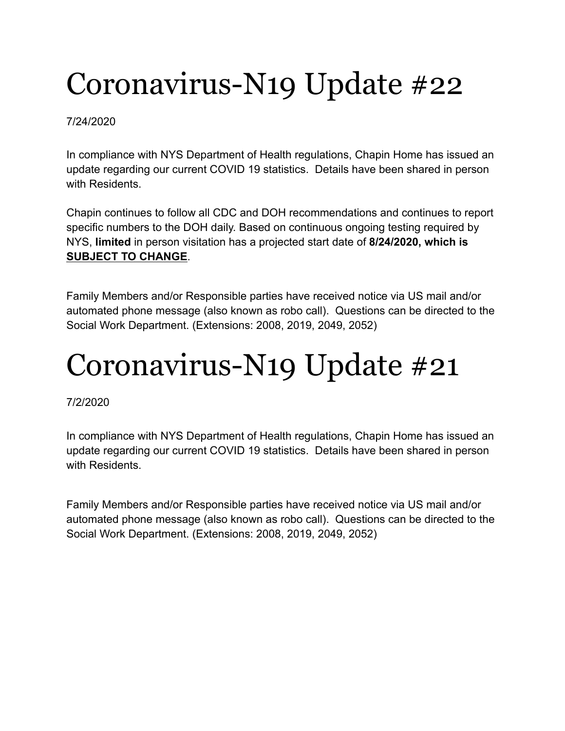#### 7/24/2020

In compliance with NYS Department of Health regulations, Chapin Home has issued an update regarding our current COVID 19 statistics. Details have been shared in person with Residents.

Chapin continues to follow all CDC and DOH recommendations and continues to report specific numbers to the DOH daily. Based on continuous ongoing testing required by NYS, **limited** in person visitation has a projected start date of **8/24/2020, which is SUBJECT TO CHANGE**.

Family Members and/or Responsible parties have received notice via US mail and/or automated phone message (also known as robo call). Questions can be directed to the Social Work Department. (Extensions: 2008, 2019, 2049, 2052)

## Coronavirus-N19 Update #21

#### 7/2/2020

In compliance with NYS Department of Health regulations, Chapin Home has issued an update regarding our current COVID 19 statistics. Details have been shared in person with Residents.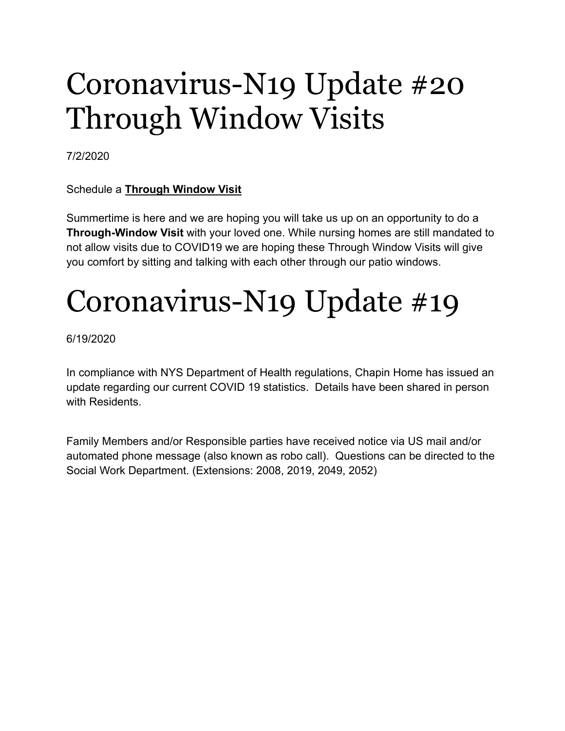### Coronavirus-N19 Update #20 Through Window Visits

7/2/2020

#### Schedule a **Through Window Visit**

Summertime is here and we are hoping you will take us up on an opportunity to do a **Through-Window Visit** with your loved one. While nursing homes are still mandated to not allow visits due to COVID19 we are hoping these Through Window Visits will give you comfort by sitting and talking with each other through our patio windows.

## Coronavirus-N19 Update #19

6/19/2020

In compliance with NYS Department of Health regulations, Chapin Home has issued an update regarding our current COVID 19 statistics. Details have been shared in person with Residents.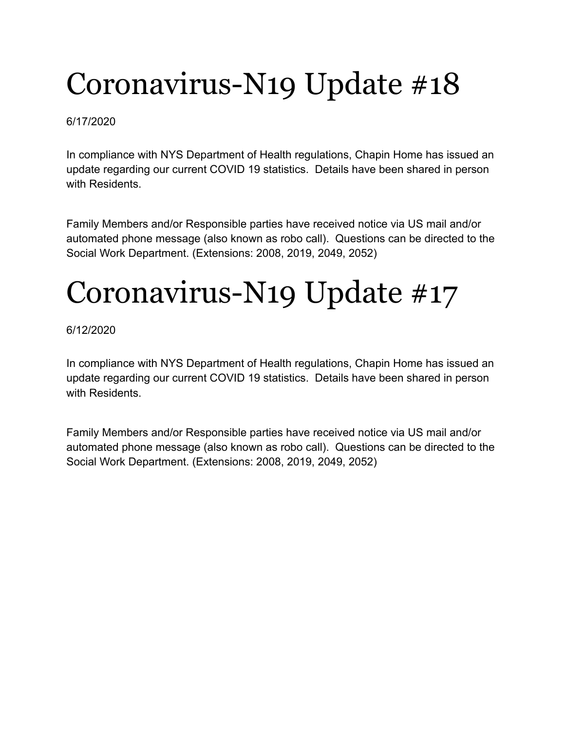#### 6/17/2020

In compliance with NYS Department of Health regulations, Chapin Home has issued an update regarding our current COVID 19 statistics. Details have been shared in person with Residents.

Family Members and/or Responsible parties have received notice via US mail and/or automated phone message (also known as robo call). Questions can be directed to the Social Work Department. (Extensions: 2008, 2019, 2049, 2052)

# Coronavirus-N19 Update #17

#### 6/12/2020

In compliance with NYS Department of Health regulations, Chapin Home has issued an update regarding our current COVID 19 statistics. Details have been shared in person with Residents.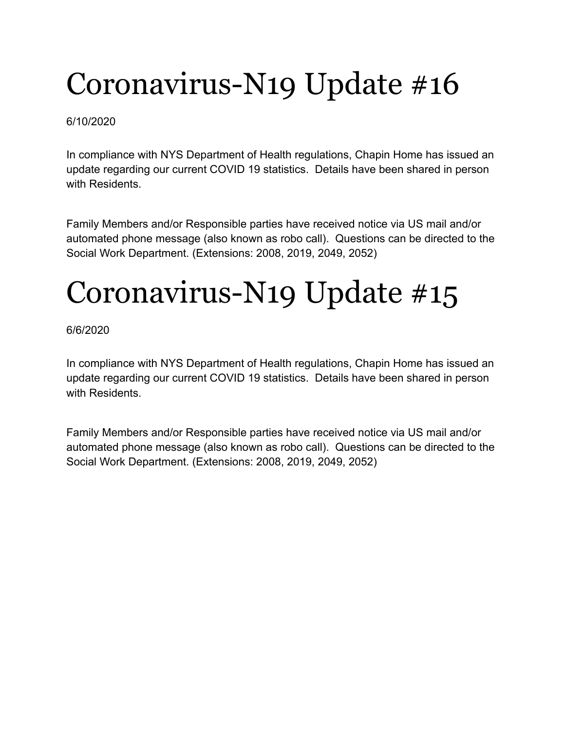#### 6/10/2020

In compliance with NYS Department of Health regulations, Chapin Home has issued an update regarding our current COVID 19 statistics. Details have been shared in person with Residents.

Family Members and/or Responsible parties have received notice via US mail and/or automated phone message (also known as robo call). Questions can be directed to the Social Work Department. (Extensions: 2008, 2019, 2049, 2052)

# Coronavirus-N19 Update #15

#### 6/6/2020

In compliance with NYS Department of Health regulations, Chapin Home has issued an update regarding our current COVID 19 statistics. Details have been shared in person with Residents.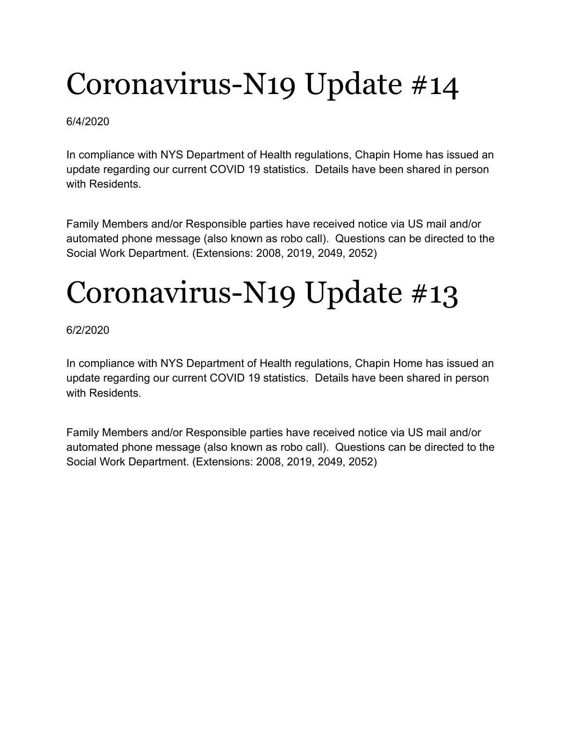#### 6/4/2020

In compliance with NYS Department of Health regulations, Chapin Home has issued an update regarding our current COVID 19 statistics. Details have been shared in person with Residents.

Family Members and/or Responsible parties have received notice via US mail and/or automated phone message (also known as robo call). Questions can be directed to the Social Work Department. (Extensions: 2008, 2019, 2049, 2052)

# Coronavirus-N19 Update #13

#### 6/2/2020

In compliance with NYS Department of Health regulations, Chapin Home has issued an update regarding our current COVID 19 statistics. Details have been shared in person with Residents.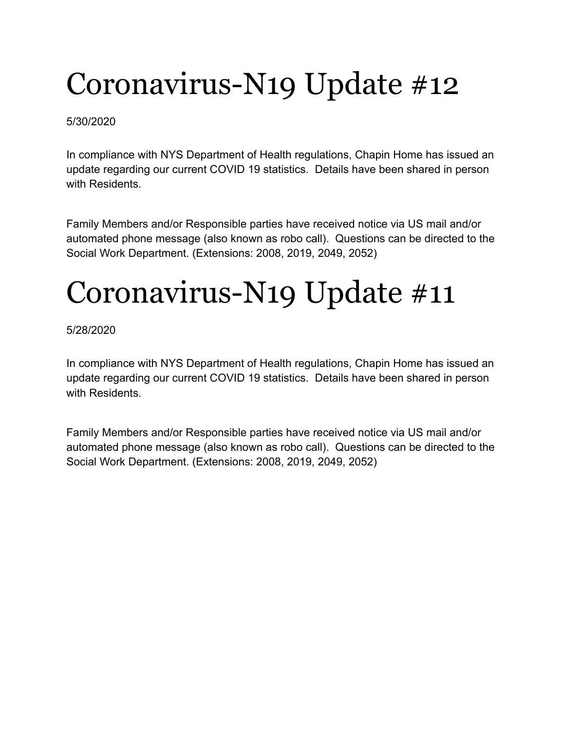#### 5/30/2020

In compliance with NYS Department of Health regulations, Chapin Home has issued an update regarding our current COVID 19 statistics. Details have been shared in person with Residents.

Family Members and/or Responsible parties have received notice via US mail and/or automated phone message (also known as robo call). Questions can be directed to the Social Work Department. (Extensions: 2008, 2019, 2049, 2052)

# Coronavirus-N19 Update #11

#### 5/28/2020

In compliance with NYS Department of Health regulations, Chapin Home has issued an update regarding our current COVID 19 statistics. Details have been shared in person with Residents.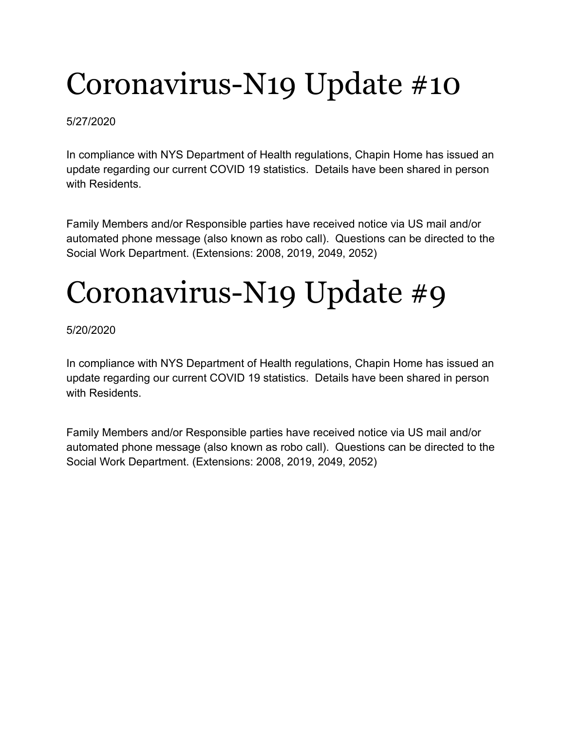#### 5/27/2020

In compliance with NYS Department of Health regulations, Chapin Home has issued an update regarding our current COVID 19 statistics. Details have been shared in person with Residents.

Family Members and/or Responsible parties have received notice via US mail and/or automated phone message (also known as robo call). Questions can be directed to the Social Work Department. (Extensions: 2008, 2019, 2049, 2052)

# Coronavirus-N19 Update #9

#### 5/20/2020

In compliance with NYS Department of Health regulations, Chapin Home has issued an update regarding our current COVID 19 statistics. Details have been shared in person with Residents.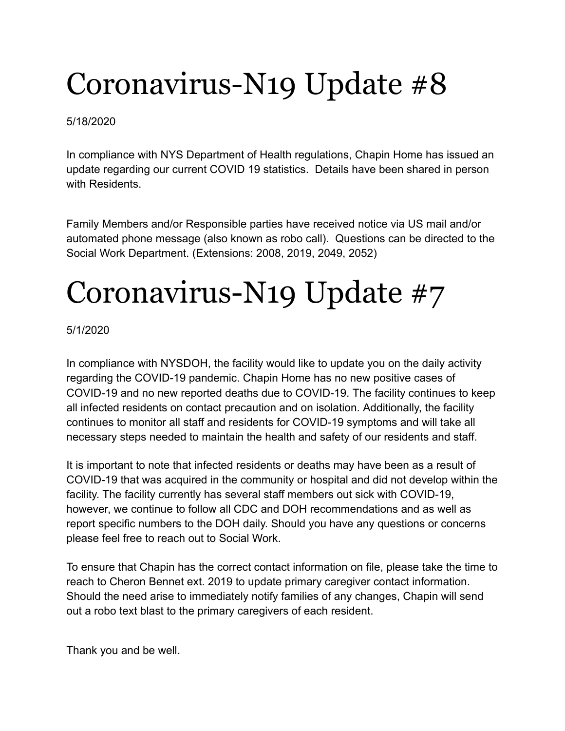#### 5/18/2020

In compliance with NYS Department of Health regulations, Chapin Home has issued an update regarding our current COVID 19 statistics. Details have been shared in person with Residents.

Family Members and/or Responsible parties have received notice via US mail and/or automated phone message (also known as robo call). Questions can be directed to the Social Work Department. (Extensions: 2008, 2019, 2049, 2052)

## Coronavirus-N19 Update #7

5/1/2020

In compliance with NYSDOH, the facility would like to update you on the daily activity regarding the COVID-19 pandemic. Chapin Home has no new positive cases of COVID-19 and no new reported deaths due to COVID-19. The facility continues to keep all infected residents on contact precaution and on isolation. Additionally, the facility continues to monitor all staff and residents for COVID-19 symptoms and will take all necessary steps needed to maintain the health and safety of our residents and staff.

It is important to note that infected residents or deaths may have been as a result of COVID-19 that was acquired in the community or hospital and did not develop within the facility. The facility currently has several staff members out sick with COVID-19, however, we continue to follow all CDC and DOH recommendations and as well as report specific numbers to the DOH daily. Should you have any questions or concerns please feel free to reach out to Social Work.

To ensure that Chapin has the correct contact information on file, please take the time to reach to Cheron Bennet ext. 2019 to update primary caregiver contact information. Should the need arise to immediately notify families of any changes, Chapin will send out a robo text blast to the primary caregivers of each resident.

Thank you and be well.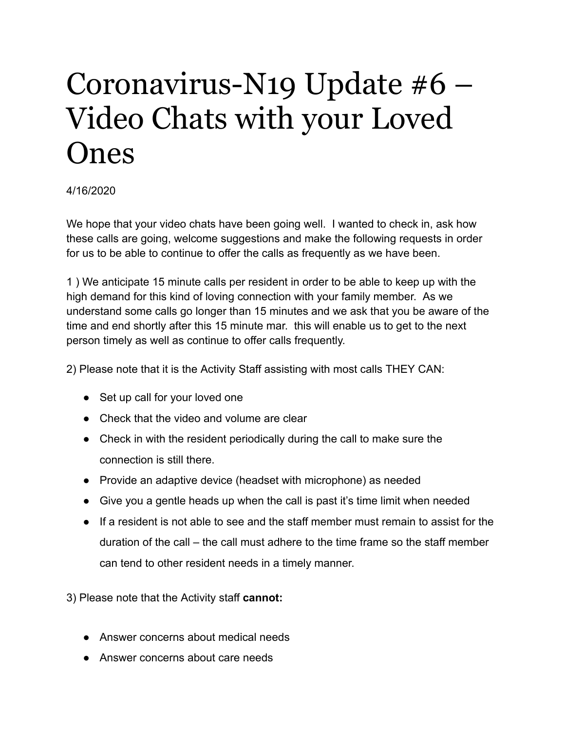### Coronavirus-N19 Update #6 – Video Chats with your Loved Ones

#### 4/16/2020

We hope that your video chats have been going well. I wanted to check in, ask how these calls are going, welcome suggestions and make the following requests in order for us to be able to continue to offer the calls as frequently as we have been.

1 ) We anticipate 15 minute calls per resident in order to be able to keep up with the high demand for this kind of loving connection with your family member. As we understand some calls go longer than 15 minutes and we ask that you be aware of the time and end shortly after this 15 minute mar. this will enable us to get to the next person timely as well as continue to offer calls frequently.

2) Please note that it is the Activity Staff assisting with most calls THEY CAN:

- Set up call for your loved one
- Check that the video and volume are clear
- Check in with the resident periodically during the call to make sure the connection is still there.
- Provide an adaptive device (headset with microphone) as needed
- Give you a gentle heads up when the call is past it's time limit when needed
- If a resident is not able to see and the staff member must remain to assist for the duration of the call – the call must adhere to the time frame so the staff member can tend to other resident needs in a timely manner.

3) Please note that the Activity staff **cannot:**

- Answer concerns about medical needs
- Answer concerns about care needs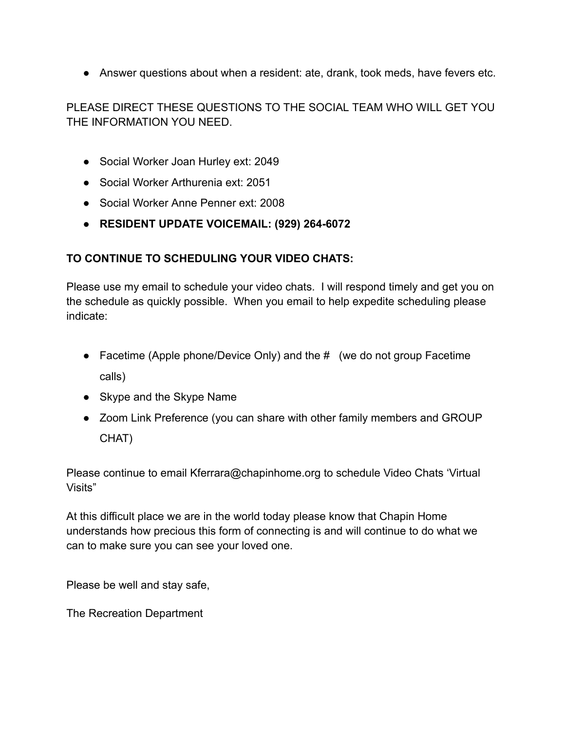● Answer questions about when a resident: ate, drank, took meds, have fevers etc.

PLEASE DIRECT THESE QUESTIONS TO THE SOCIAL TEAM WHO WILL GET YOU THE INFORMATION YOU NEED.

- Social Worker Joan Hurley ext: 2049
- Social Worker Arthurenia ext: 2051
- Social Worker Anne Penner ext: 2008
- **RESIDENT UPDATE VOICEMAIL: (929) 264-6072**

#### **TO CONTINUE TO SCHEDULING YOUR VIDEO CHATS:**

Please use my email to schedule your video chats. I will respond timely and get you on the schedule as quickly possible. When you email to help expedite scheduling please indicate:

- Facetime (Apple phone/Device Only) and the # (we do not group Facetime calls)
- Skype and the Skype Name
- Zoom Link Preference (you can share with other family members and GROUP CHAT)

Please continue to email Kferrara@chapinhome.org to schedule Video Chats 'Virtual Visits"

At this difficult place we are in the world today please know that Chapin Home understands how precious this form of connecting is and will continue to do what we can to make sure you can see your loved one.

Please be well and stay safe,

The Recreation Department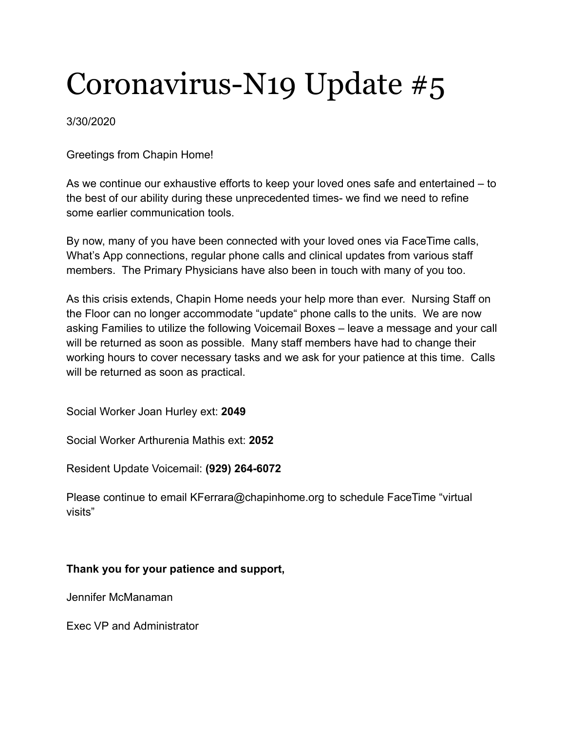#### 3/30/2020

Greetings from Chapin Home!

As we continue our exhaustive efforts to keep your loved ones safe and entertained – to the best of our ability during these unprecedented times- we find we need to refine some earlier communication tools.

By now, many of you have been connected with your loved ones via FaceTime calls, What's App connections, regular phone calls and clinical updates from various staff members. The Primary Physicians have also been in touch with many of you too.

As this crisis extends, Chapin Home needs your help more than ever. Nursing Staff on the Floor can no longer accommodate "update" phone calls to the units. We are now asking Families to utilize the following Voicemail Boxes – leave a message and your call will be returned as soon as possible. Many staff members have had to change their working hours to cover necessary tasks and we ask for your patience at this time. Calls will be returned as soon as practical.

Social Worker Joan Hurley ext: **2049**

Social Worker Arthurenia Mathis ext: **2052**

Resident Update Voicemail: **(929) 264-6072**

Please continue to email KFerrara@chapinhome.org to schedule FaceTime "virtual visits"

#### **Thank you for your patience and support,**

Jennifer McManaman

Exec VP and Administrator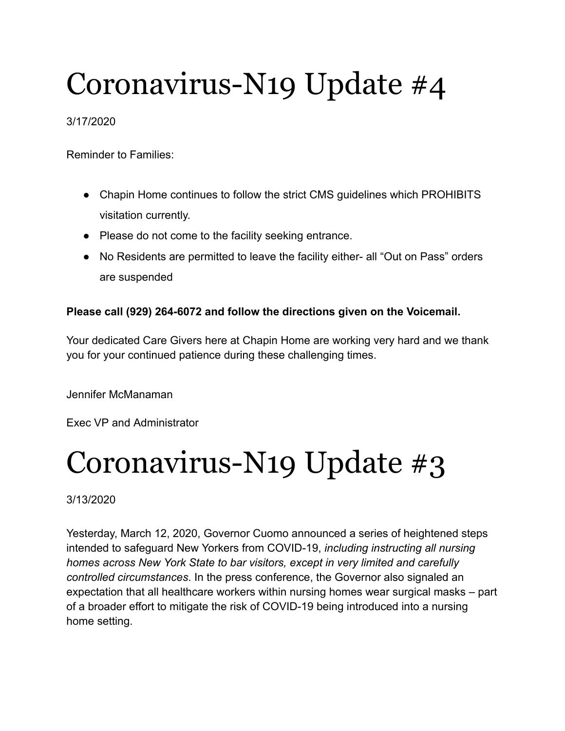#### 3/17/2020

Reminder to Families:

- Chapin Home continues to follow the strict CMS guidelines which PROHIBITS visitation currently.
- Please do not come to the facility seeking entrance.
- No Residents are permitted to leave the facility either- all "Out on Pass" orders are suspended

#### **Please call (929) 264-6072 and follow the directions given on the Voicemail.**

Your dedicated Care Givers here at Chapin Home are working very hard and we thank you for your continued patience during these challenging times.

Jennifer McManaman

Exec VP and Administrator

### Coronavirus-N19 Update #3

3/13/2020

Yesterday, March 12, 2020, Governor Cuomo announced a series of heightened steps intended to safeguard New Yorkers from COVID-19, *including instructing all nursing homes across New York State to bar visitors, except in very limited and carefully controlled circumstances*. In the press conference, the Governor also signaled an expectation that all healthcare workers within nursing homes wear surgical masks – part of a broader effort to mitigate the risk of COVID-19 being introduced into a nursing home setting.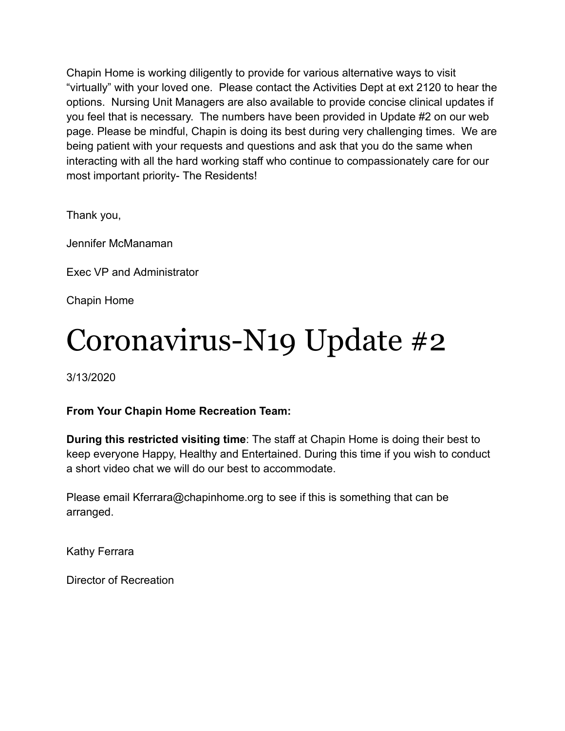Chapin Home is working diligently to provide for various alternative ways to visit "virtually" with your loved one. Please contact the Activities Dept at ext 2120 to hear the options. Nursing Unit Managers are also available to provide concise clinical updates if you feel that is necessary. The numbers have been provided in Update #2 on our web page. Please be mindful, Chapin is doing its best during very challenging times. We are being patient with your requests and questions and ask that you do the same when interacting with all the hard working staff who continue to compassionately care for our most important priority- The Residents!

Thank you,

Jennifer McManaman

Exec VP and Administrator

Chapin Home

### Coronavirus-N19 Update #2

3/13/2020

#### **From Your Chapin Home Recreation Team:**

**During this restricted visiting time**: The staff at Chapin Home is doing their best to keep everyone Happy, Healthy and Entertained. During this time if you wish to conduct a short video chat we will do our best to accommodate.

Please email Kferrara@chapinhome.org to see if this is something that can be arranged.

Kathy Ferrara

Director of Recreation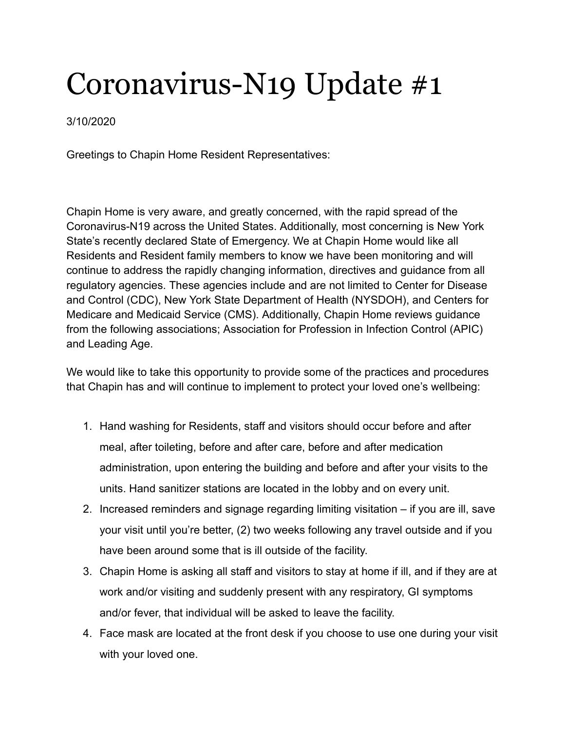3/10/2020

Greetings to Chapin Home Resident Representatives:

Chapin Home is very aware, and greatly concerned, with the rapid spread of the Coronavirus-N19 across the United States. Additionally, most concerning is New York State's recently declared State of Emergency. We at Chapin Home would like all Residents and Resident family members to know we have been monitoring and will continue to address the rapidly changing information, directives and guidance from all regulatory agencies. These agencies include and are not limited to Center for Disease and Control (CDC), New York State Department of Health (NYSDOH), and Centers for Medicare and Medicaid Service (CMS). Additionally, Chapin Home reviews guidance from the following associations; Association for Profession in Infection Control (APIC) and Leading Age.

We would like to take this opportunity to provide some of the practices and procedures that Chapin has and will continue to implement to protect your loved one's wellbeing:

- 1. Hand washing for Residents, staff and visitors should occur before and after meal, after toileting, before and after care, before and after medication administration, upon entering the building and before and after your visits to the units. Hand sanitizer stations are located in the lobby and on every unit.
- 2. Increased reminders and signage regarding limiting visitation if you are ill, save your visit until you're better, (2) two weeks following any travel outside and if you have been around some that is ill outside of the facility.
- 3. Chapin Home is asking all staff and visitors to stay at home if ill, and if they are at work and/or visiting and suddenly present with any respiratory, GI symptoms and/or fever, that individual will be asked to leave the facility.
- 4. Face mask are located at the front desk if you choose to use one during your visit with your loved one.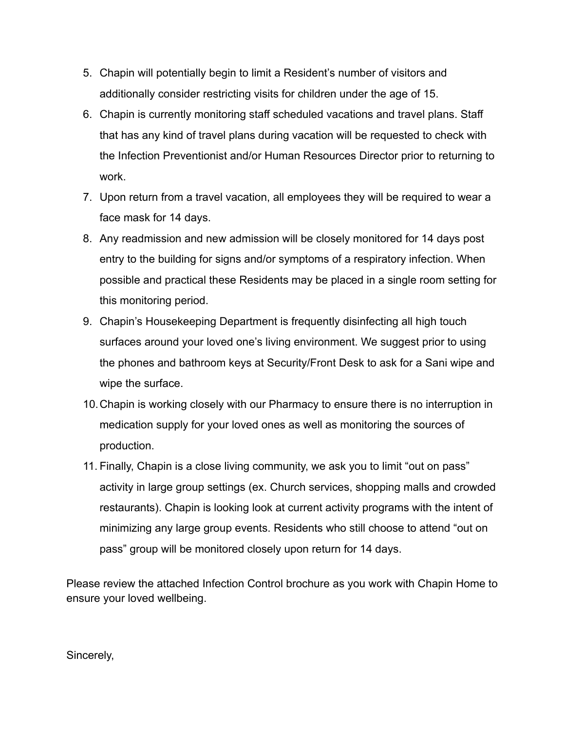- 5. Chapin will potentially begin to limit a Resident's number of visitors and additionally consider restricting visits for children under the age of 15.
- 6. Chapin is currently monitoring staff scheduled vacations and travel plans. Staff that has any kind of travel plans during vacation will be requested to check with the Infection Preventionist and/or Human Resources Director prior to returning to work.
- 7. Upon return from a travel vacation, all employees they will be required to wear a face mask for 14 days.
- 8. Any readmission and new admission will be closely monitored for 14 days post entry to the building for signs and/or symptoms of a respiratory infection. When possible and practical these Residents may be placed in a single room setting for this monitoring period.
- 9. Chapin's Housekeeping Department is frequently disinfecting all high touch surfaces around your loved one's living environment. We suggest prior to using the phones and bathroom keys at Security/Front Desk to ask for a Sani wipe and wipe the surface.
- 10.Chapin is working closely with our Pharmacy to ensure there is no interruption in medication supply for your loved ones as well as monitoring the sources of production.
- 11. Finally, Chapin is a close living community, we ask you to limit "out on pass" activity in large group settings (ex. Church services, shopping malls and crowded restaurants). Chapin is looking look at current activity programs with the intent of minimizing any large group events. Residents who still choose to attend "out on pass" group will be monitored closely upon return for 14 days.

Please review the attached Infection Control brochure as you work with Chapin Home to ensure your loved wellbeing.

#### Sincerely,